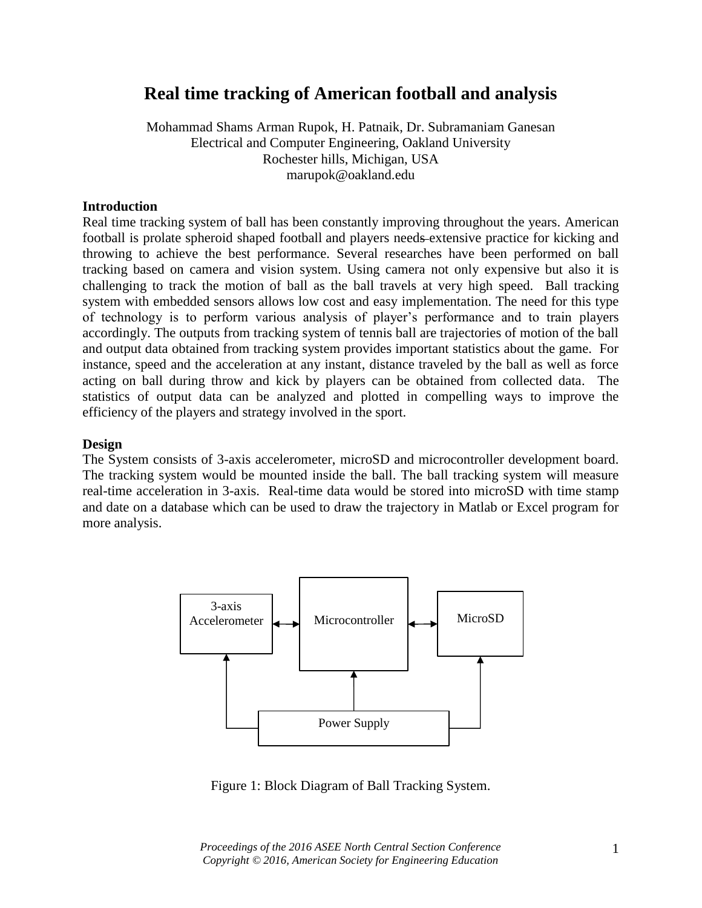# **Real time tracking of American football and analysis**

Mohammad Shams Arman Rupok, H. Patnaik, Dr. Subramaniam Ganesan Electrical and Computer Engineering, Oakland University Rochester hills, Michigan, USA marupok@oakland.edu

#### **Introduction**

Real time tracking system of ball has been constantly improving throughout the years. American football is prolate spheroid shaped football and players needs extensive practice for kicking and throwing to achieve the best performance. Several researches have been performed on ball tracking based on camera and vision system. Using camera not only expensive but also it is challenging to track the motion of ball as the ball travels at very high speed. Ball tracking system with embedded sensors allows low cost and easy implementation. The need for this type of technology is to perform various analysis of player's performance and to train players accordingly. The outputs from tracking system of tennis ball are trajectories of motion of the ball and output data obtained from tracking system provides important statistics about the game. For instance, speed and the acceleration at any instant, distance traveled by the ball as well as force acting on ball during throw and kick by players can be obtained from collected data. The statistics of output data can be analyzed and plotted in compelling ways to improve the efficiency of the players and strategy involved in the sport.

#### **Design**

The System consists of 3-axis accelerometer, microSD and microcontroller development board. The tracking system would be mounted inside the ball. The ball tracking system will measure real-time acceleration in 3-axis. Real-time data would be stored into microSD with time stamp and date on a database which can be used to draw the trajectory in Matlab or Excel program for more analysis.



Figure 1: Block Diagram of Ball Tracking System.

*Proceedings of the 2016 ASEE North Central Section Conference Copyright © 2016, American Society for Engineering Education*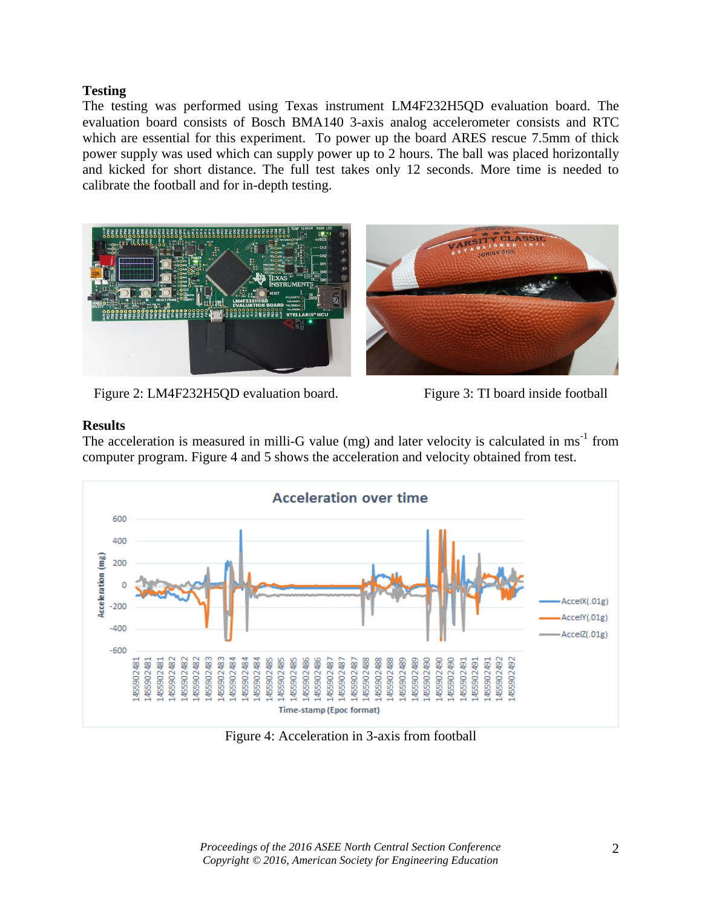## **Testing**

The testing was performed using Texas instrument LM4F232H5QD evaluation board. The evaluation board consists of Bosch BMA140 3-axis analog accelerometer consists and RTC which are essential for this experiment. To power up the board ARES rescue 7.5mm of thick power supply was used which can supply power up to 2 hours. The ball was placed horizontally and kicked for short distance. The full test takes only 12 seconds. More time is needed to calibrate the football and for in-depth testing.



Figure 2: LM4F232H5QD evaluation board. Figure 3: TI board inside football

## **Results**

The acceleration is measured in milli-G value (mg) and later velocity is calculated in ms<sup>-1</sup> from computer program. Figure 4 and 5 shows the acceleration and velocity obtained from test.



Figure 4: Acceleration in 3-axis from football